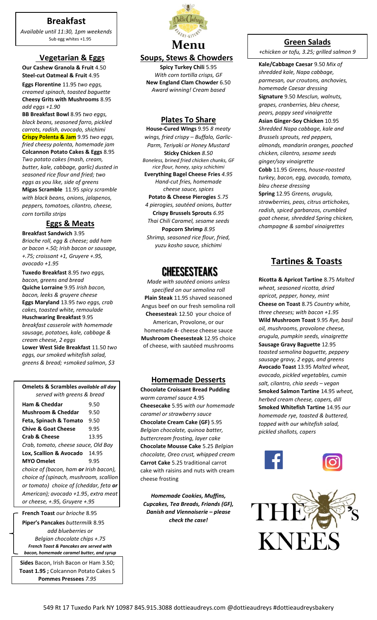## **Breakfast**

*Available until 11:30, 1pm weekends* Sub egg whites +1.95

### **Vegetarian & Eggs**

**Our Cashew Granola & Fruit** 4.50 **Steel-cut Oatmeal & Fruit** 4.95

**Eggs Florentine** 11.95 *two eggs, creamed spinach, toasted baguette* **Cheesy Grits with Mushrooms** 8.95 *add eggs +1.90*

**BB Breakfast Bowl** 8.95 *two eggs, black beans, seasoned farro, pickled carrots, radish, avocado, shichimi* **Crispy Polenta & Jam** 9.95 *two eggs, fried cheesy polenta, homemade jam* **Colcannon Potato Cakes & Eggs** 8.95 *Two potato cakes (mash, cream, butter, kale, cabbage, garlic) dusted in seasoned rice flour and fried; two eggs as you like, side of greens* **Migas Scramble** 11.95 *spicy scramble with black beans, onions, jalapenos, peppers, tomatoes, cilantro, cheese, corn tortilla strips*

### **Eggs & Meats**

**Breakfast Sandwich** 3.95 *Brioche roll, egg & cheese; add ham or bacon +.50; Irish bacon or sausage, +.75; croissant +1, Gruyere +.95, avocado +1.95*

**Tuxedo Breakfast** 8.95 *two eggs, bacon, greens and bread* **Quiche Lorraine** 9.95 *Irish bacon, bacon, leeks & gruyere cheese* **Eggs Maryland** 13.95 *two eggs, crab cakes, toasted white, remoulade* **Huschwaring Breakfast** 9.95 *breakfast casserole with homemade sausage, potatoes, kale, cabbage & cream cheese, 2 eggs* **Lower West Side Breakfast** 11.50 *two eggs, our smoked whitefish salad,* 

*greens & bread; +smoked salmon, \$3*

| Omelets & Scrambles available all day  |       |
|----------------------------------------|-------|
| served with greens & bread             |       |
| <b>Ham &amp; Cheddar</b>               | 9.50  |
| <b>Mushroom &amp; Cheddar</b>          | 9.50  |
| Feta, Spinach & Tomato                 | 9.50  |
| <b>Chive &amp; Goat Cheese</b>         | 9.95  |
| <b>Crab &amp; Cheese</b>               | 13.95 |
| Crab, tomato, cheese sauce, Old Bay    |       |
| Lox, Scallion & Avocado                | 14.95 |
| <b>MYO Omelet</b>                      | 9.95  |
| choice of (bacon, ham or Irish bacon), |       |
| choice of (spinach, mushroom, scallion |       |
| or tomato) choice of (cheddar, feta or |       |
| American); avocado +1.95, extra meat   |       |
| or cheese, +.95, Gruyere +.95          |       |
|                                        |       |

**French Toast** *our brioche* 8.95

**Piper's Pancakes** *buttermilk* 8.95 *add blueberries or Belgian chocolate chips +.75 French Toast & Pancakes are served with bacon, homemade caramel butter, and syrup*

**Sides** Bacon, Irish Bacon or Ham 3.50; **Toast 1.95 ;** Colcannon Potato Cakes 5 **Pommes Pressees** *7.95*



## **Soups, Stews & Chowders**

**Spicy Turkey Chili** 5.95 *With corn tortilla crisps, GF*  **New England Clam Chowder** 6.50 *Award winning! Cream based*

### **Plates To Share**

**House-Cured WIngs** 9.95 *8 meaty wings, fried crispy – Buffalo, Garlic-Parm, Teriyaki or Honey Mustard* **Sticky Chicken** *8.50 Boneless, brined fried chicken chunks, GF rice flour, honey, spicy schichimi* **Everything Bagel Cheese Fries** *4.95 Hand-cut fries, homemade cheese sauce, spices* **Potato & Cheese Pierogies** *5.75 4 pierogies, sautéed onions, butter* **Crispy Brussels Sprouts** *6.95 Thai Chili Caramel, sesame seeds* **Popcorn Shrimp** *8.95 Shrimp, seasoned rice flour, fried, yuzu kosho sauce, shichimi*

# **CHEESESTEAKS**

*Made with sautéed onions unless specified on our semolina roll*  **Plain Steak** 11.95 shaved seasoned Angus beef on our fresh semolina roll **Cheesestea**k 12.50 your choice of American, Provolone, or our homemade 4- cheese cheese sauce **Mushroom Cheesesteak** 12.95 choice of cheese, with sautéed mushrooms

### **Homemade Desserts**

**Chocolate Croissant Bread Pudding**  *warm caramel sauce* 4.95 **Cheesecake** 5.95 *with our homemade caramel or strawberry sauce* **Chocolate Cream Cake (GF)** 5.95 *Belgian chocolate, quinoa batter, buttercream frosting, layer cake* **Chocolate Mousse Cake** 5.25 *Belgian chocolate, Oreo crust, whipped cream* **Carrot Cake** 5.25 traditional carrot cake with raisins and nuts with cream cheese frosting

*Homemade Cookies, Muffins, Cupcakes, Tea Breads, Friands (GF), Danish and Viennoiserie – please check the case!*

### **Green Salads**

*+chicken or tofu, 3.25; grilled salmon 9*

**Kale/Cabbage Caesar** 9.50 *Mix of shredded kale, Napa cabbage, parmesan, our croutons, anchovies, homemade Caesar dressing* **Signature** 9.50 *Mesclun, walnuts, grapes, cranberries, bleu cheese, pears, poppy seed vinaigrette* **Asian Ginger-Soy Chicken** 10.95 *Shredded Napa cabbage, kale and Brussels sprouts, red peppers, almonds, mandarin oranges, poached chicken, cilantro, sesame seeds ginger/soy vinaigrette* **Cobb** 11.95 *Greens, house-roasted turkey, bacon, egg, avocado, tomato, bleu cheese dressing* **Spring** 12.95 *Greens, arugula, strawberries, peas, citrus artichokes, radish, spiced garbanzos, crumbled goat cheese, shredded Spring chicken, champagne & sambal vinaigrettes*

# **Tartines & Toasts**

**Ricotta & Apricot Tartine** 8.75 *Malted wheat, seasoned ricotta, dried apricot, pepper, honey, mint* **Cheese on Toast** 8.75 *Country white, three cheeses; with bacon +1.95* **Wild Mushroom Toast** 9.95 *Rye, basil oil, mushrooms, provolone cheese, arugula, pumpkin seeds, vinaigrette* **Sausage Gravy Baguette** 12.95 *toasted semolina baguette, peppery sausage gravy, 2 eggs, and greens* **Avocado Toast** 13.95 *Malted wheat, avocado, pickled vegetables, cumin salt, cilantro, chia seeds – vegan* **Smoked Salmon Tartine** 14.95 *wheat, herbed cream cheese, capers, dill* **Smoked Whitefish Tartine** 14.95 *our homemade rye, toasted & buttered, topped with our whitefish salad, pickled shallots, capers*